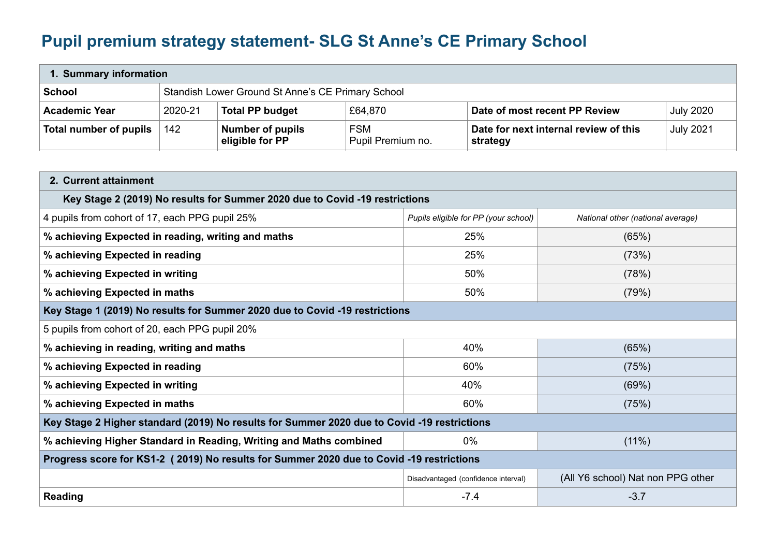## **Pupil premium strategy statement- SLG St Anne's CE Primary School**

| 1. Summary information |                                                   |                                            |                                 |                                                   |                  |  |
|------------------------|---------------------------------------------------|--------------------------------------------|---------------------------------|---------------------------------------------------|------------------|--|
| <b>School</b>          | Standish Lower Ground St Anne's CE Primary School |                                            |                                 |                                                   |                  |  |
| <b>Academic Year</b>   | 2020-21                                           | <b>Total PP budget</b>                     | £64,870                         | Date of most recent PP Review                     | <b>July 2020</b> |  |
| Total number of pupils | 142                                               | <b>Number of pupils</b><br>eligible for PP | <b>FSM</b><br>Pupil Premium no. | Date for next internal review of this<br>strategy | <b>July 2021</b> |  |

| 2. Current attainment                                                                                                       |                                     |                                   |  |  |  |  |
|-----------------------------------------------------------------------------------------------------------------------------|-------------------------------------|-----------------------------------|--|--|--|--|
| Key Stage 2 (2019) No results for Summer 2020 due to Covid -19 restrictions                                                 |                                     |                                   |  |  |  |  |
| 4 pupils from cohort of 17, each PPG pupil 25%<br>Pupils eligible for PP (your school)<br>National other (national average) |                                     |                                   |  |  |  |  |
| % achieving Expected in reading, writing and maths                                                                          | 25%                                 | (65%)                             |  |  |  |  |
| % achieving Expected in reading                                                                                             | 25%                                 | (73%)                             |  |  |  |  |
| % achieving Expected in writing                                                                                             | 50%<br>(78%)                        |                                   |  |  |  |  |
| % achieving Expected in maths                                                                                               | 50%                                 | (79%)                             |  |  |  |  |
| Key Stage 1 (2019) No results for Summer 2020 due to Covid -19 restrictions                                                 |                                     |                                   |  |  |  |  |
| 5 pupils from cohort of 20, each PPG pupil 20%                                                                              |                                     |                                   |  |  |  |  |
| 40%<br>% achieving in reading, writing and maths<br>(65%)                                                                   |                                     |                                   |  |  |  |  |
| % achieving Expected in reading<br>60%<br>(75%)                                                                             |                                     |                                   |  |  |  |  |
| % achieving Expected in writing<br>40%<br>(69%)                                                                             |                                     |                                   |  |  |  |  |
| 60%<br>% achieving Expected in maths<br>(75%)                                                                               |                                     |                                   |  |  |  |  |
| Key Stage 2 Higher standard (2019) No results for Summer 2020 due to Covid -19 restrictions                                 |                                     |                                   |  |  |  |  |
| % achieving Higher Standard in Reading, Writing and Maths combined<br>$0\%$<br>$(11\%)$                                     |                                     |                                   |  |  |  |  |
| Progress score for KS1-2 (2019) No results for Summer 2020 due to Covid -19 restrictions                                    |                                     |                                   |  |  |  |  |
|                                                                                                                             | Disadvantaged (confidence interval) | (All Y6 school) Nat non PPG other |  |  |  |  |
| Reading                                                                                                                     | $-7.4$                              | $-3.7$                            |  |  |  |  |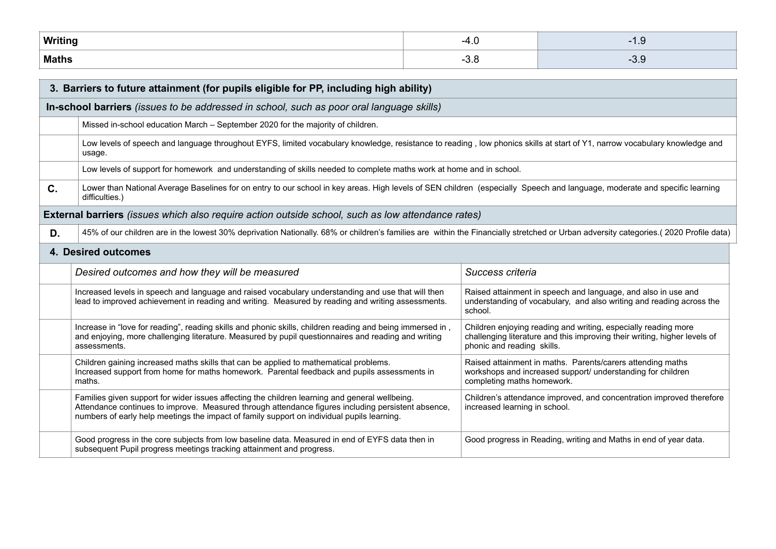| Writing |      | $\cdot$ |
|---------|------|---------|
| Maths   | -ט.ט | -0.0    |

| 3. Barriers to future attainment (for pupils eligible for PP, including high ability)           |                                                                                                                                                                                                                                                                                                    |                                                                                                                                                                           |  |  |  |
|-------------------------------------------------------------------------------------------------|----------------------------------------------------------------------------------------------------------------------------------------------------------------------------------------------------------------------------------------------------------------------------------------------------|---------------------------------------------------------------------------------------------------------------------------------------------------------------------------|--|--|--|
| In-school barriers <i>(issues to be addressed in school, such as poor oral language skills)</i> |                                                                                                                                                                                                                                                                                                    |                                                                                                                                                                           |  |  |  |
|                                                                                                 | Missed in-school education March - September 2020 for the majority of children.                                                                                                                                                                                                                    |                                                                                                                                                                           |  |  |  |
|                                                                                                 | Low levels of speech and language throughout EYFS, limited vocabulary knowledge, resistance to reading, low phonics skills at start of Y1, narrow vocabulary knowledge and<br>usage.                                                                                                               |                                                                                                                                                                           |  |  |  |
|                                                                                                 | Low levels of support for homework and understanding of skills needed to complete maths work at home and in school.                                                                                                                                                                                |                                                                                                                                                                           |  |  |  |
| C.                                                                                              | Lower than National Average Baselines for on entry to our school in key areas. High levels of SEN children (especially Speech and language, moderate and specific learning<br>difficulties.)                                                                                                       |                                                                                                                                                                           |  |  |  |
|                                                                                                 | <b>External barriers</b> (issues which also require action outside school, such as low attendance rates)                                                                                                                                                                                           |                                                                                                                                                                           |  |  |  |
| D.                                                                                              | 45% of our children are in the lowest 30% deprivation Nationally. 68% or children's families are within the Financially stretched or Urban adversity categories.(2020 Profile data)                                                                                                                |                                                                                                                                                                           |  |  |  |
|                                                                                                 | 4. Desired outcomes                                                                                                                                                                                                                                                                                |                                                                                                                                                                           |  |  |  |
|                                                                                                 | Success criteria<br>Desired outcomes and how they will be measured                                                                                                                                                                                                                                 |                                                                                                                                                                           |  |  |  |
|                                                                                                 | Increased levels in speech and language and raised vocabulary understanding and use that will then<br>lead to improved achievement in reading and writing. Measured by reading and writing assessments.                                                                                            | Raised attainment in speech and language, and also in use and<br>understanding of vocabulary, and also writing and reading across the<br>school.                          |  |  |  |
|                                                                                                 | Increase in "love for reading", reading skills and phonic skills, children reading and being immersed in,<br>and enjoying, more challenging literature. Measured by pupil questionnaires and reading and writing<br>assessments.                                                                   | Children enjoying reading and writing, especially reading more<br>challenging literature and this improving their writing, higher levels of<br>phonic and reading skills. |  |  |  |
|                                                                                                 | Children gaining increased maths skills that can be applied to mathematical problems.<br>Increased support from home for maths homework. Parental feedback and pupils assessments in<br>maths.                                                                                                     | Raised attainment in maths. Parents/carers attending maths<br>workshops and increased support/ understanding for children<br>completing maths homework.                   |  |  |  |
|                                                                                                 | Families given support for wider issues affecting the children learning and general wellbeing.<br>Attendance continues to improve. Measured through attendance figures including persistent absence,<br>numbers of early help meetings the impact of family support on individual pupils learning. | Children's attendance improved, and concentration improved therefore<br>increased learning in school.                                                                     |  |  |  |
|                                                                                                 | Good progress in the core subjects from low baseline data. Measured in end of EYFS data then in<br>subsequent Pupil progress meetings tracking attainment and progress.                                                                                                                            | Good progress in Reading, writing and Maths in end of year data.                                                                                                          |  |  |  |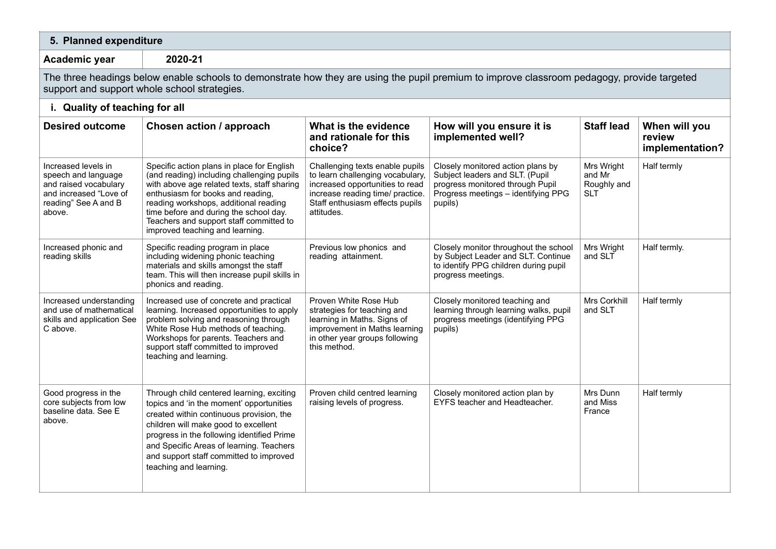| 5. Planned expenditure                                                                                                                                                                      |                                                                                                                                                                                                                                                                                                                                               |                                                                                                                                                                                             |                                                                                                                                                            |                                                   |                                            |  |  |
|---------------------------------------------------------------------------------------------------------------------------------------------------------------------------------------------|-----------------------------------------------------------------------------------------------------------------------------------------------------------------------------------------------------------------------------------------------------------------------------------------------------------------------------------------------|---------------------------------------------------------------------------------------------------------------------------------------------------------------------------------------------|------------------------------------------------------------------------------------------------------------------------------------------------------------|---------------------------------------------------|--------------------------------------------|--|--|
| Academic year                                                                                                                                                                               | 2020-21                                                                                                                                                                                                                                                                                                                                       |                                                                                                                                                                                             |                                                                                                                                                            |                                                   |                                            |  |  |
| The three headings below enable schools to demonstrate how they are using the pupil premium to improve classroom pedagogy, provide targeted<br>support and support whole school strategies. |                                                                                                                                                                                                                                                                                                                                               |                                                                                                                                                                                             |                                                                                                                                                            |                                                   |                                            |  |  |
| i. Quality of teaching for all                                                                                                                                                              |                                                                                                                                                                                                                                                                                                                                               |                                                                                                                                                                                             |                                                                                                                                                            |                                                   |                                            |  |  |
| <b>Desired outcome</b>                                                                                                                                                                      | Chosen action / approach                                                                                                                                                                                                                                                                                                                      | What is the evidence<br>and rationale for this<br>choice?                                                                                                                                   | How will you ensure it is<br>implemented well?                                                                                                             | <b>Staff lead</b>                                 | When will you<br>review<br>implementation? |  |  |
| Increased levels in<br>speech and language<br>and raised vocabulary<br>and increased "Love of<br>reading" See A and B<br>above.                                                             | Specific action plans in place for English<br>(and reading) including challenging pupils<br>with above age related texts, staff sharing<br>enthusiasm for books and reading,<br>reading workshops, additional reading<br>time before and during the school day.<br>Teachers and support staff committed to<br>improved teaching and learning. | Challenging texts enable pupils<br>to learn challenging vocabulary,<br>increased opportunities to read<br>increase reading time/ practice.<br>Staff enthusiasm effects pupils<br>attitudes. | Closely monitored action plans by<br>Subject leaders and SLT. (Pupil<br>progress monitored through Pupil<br>Progress meetings - identifying PPG<br>pupils) | Mrs Wright<br>and Mr<br>Roughly and<br><b>SLT</b> | Half termly                                |  |  |
| Increased phonic and<br>reading skills                                                                                                                                                      | Specific reading program in place<br>including widening phonic teaching<br>materials and skills amongst the staff<br>team. This will then increase pupil skills in<br>phonics and reading.                                                                                                                                                    | Previous low phonics and<br>reading attainment.                                                                                                                                             | Closely monitor throughout the school<br>by Subject Leader and SLT. Continue<br>to identify PPG children during pupil<br>progress meetings.                | Mrs Wright<br>and SLT                             | Half termly.                               |  |  |
| Increased understanding<br>and use of mathematical<br>skills and application See<br>C above.                                                                                                | Increased use of concrete and practical<br>learning. Increased opportunities to apply<br>problem solving and reasoning through<br>White Rose Hub methods of teaching.<br>Workshops for parents. Teachers and<br>support staff committed to improved<br>teaching and learning.                                                                 | Proven White Rose Hub<br>strategies for teaching and<br>learning in Maths. Signs of<br>improvement in Maths learning<br>in other year groups following<br>this method.                      | Closely monitored teaching and<br>learning through learning walks, pupil<br>progress meetings (identifying PPG<br>pupils)                                  | Mrs Corkhill<br>and SLT                           | Half termly                                |  |  |
| Good progress in the<br>core subjects from low<br>baseline data. See E<br>above.                                                                                                            | Through child centered learning, exciting<br>topics and 'in the moment' opportunities<br>created within continuous provision, the<br>children will make good to excellent<br>progress in the following identified Prime<br>and Specific Areas of learning. Teachers<br>and support staff committed to improved<br>teaching and learning.      | Proven child centred learning<br>raising levels of progress.                                                                                                                                | Closely monitored action plan by<br>EYFS teacher and Headteacher.                                                                                          | Mrs Dunn<br>and Miss<br>France                    | Half termly                                |  |  |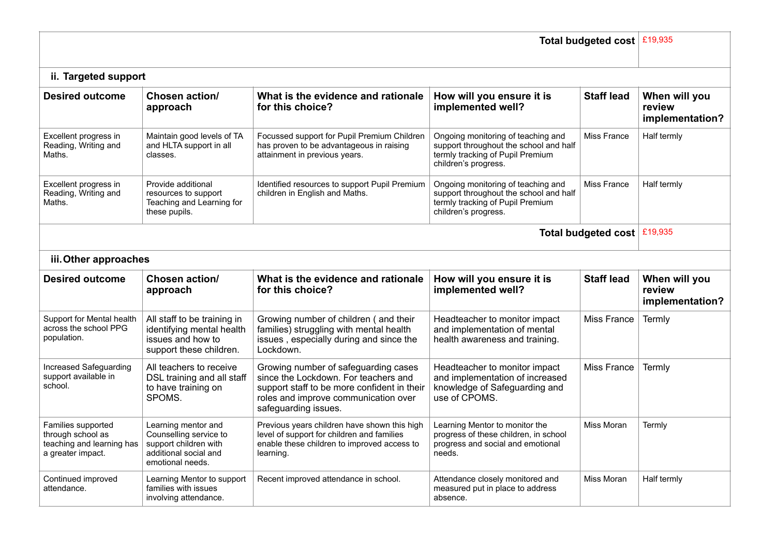| Total budgeted cost   £19,935                                                             |                                                                                                                     |                                                                                                                                                                                             |                                                                                                                                          |                             |                                            |  |
|-------------------------------------------------------------------------------------------|---------------------------------------------------------------------------------------------------------------------|---------------------------------------------------------------------------------------------------------------------------------------------------------------------------------------------|------------------------------------------------------------------------------------------------------------------------------------------|-----------------------------|--------------------------------------------|--|
| ii. Targeted support                                                                      |                                                                                                                     |                                                                                                                                                                                             |                                                                                                                                          |                             |                                            |  |
| <b>Desired outcome</b>                                                                    | Chosen action/<br>approach                                                                                          | What is the evidence and rationale<br>for this choice?                                                                                                                                      | How will you ensure it is<br>implemented well?                                                                                           | <b>Staff lead</b>           | When will you<br>review<br>implementation? |  |
| Excellent progress in<br>Reading, Writing and<br>Maths.                                   | Maintain good levels of TA<br>and HLTA support in all<br>classes.                                                   | Focussed support for Pupil Premium Children<br>has proven to be advantageous in raising<br>attainment in previous years.                                                                    | Ongoing monitoring of teaching and<br>support throughout the school and half<br>termly tracking of Pupil Premium<br>children's progress. | Miss France                 | Half termly                                |  |
| Excellent progress in<br>Reading, Writing and<br>Maths.                                   | Provide additional<br>resources to support<br>Teaching and Learning for<br>these pupils.                            | Identified resources to support Pupil Premium<br>children in English and Maths.                                                                                                             | Ongoing monitoring of teaching and<br>support throughout the school and half<br>termly tracking of Pupil Premium<br>children's progress. | Miss France                 | Half termly                                |  |
|                                                                                           |                                                                                                                     |                                                                                                                                                                                             |                                                                                                                                          | Total budgeted cost £19,935 |                                            |  |
| iii. Other approaches                                                                     |                                                                                                                     |                                                                                                                                                                                             |                                                                                                                                          |                             |                                            |  |
| <b>Desired outcome</b>                                                                    | Chosen action/<br>approach                                                                                          | What is the evidence and rationale<br>for this choice?                                                                                                                                      | How will you ensure it is<br>implemented well?                                                                                           | <b>Staff lead</b>           | When will you<br>review<br>implementation? |  |
| Support for Mental health<br>across the school PPG<br>population.                         | All staff to be training in<br>identifying mental health<br>issues and how to<br>support these children.            | Growing number of children (and their<br>families) struggling with mental health<br>issues, especially during and since the<br>Lockdown.                                                    | Headteacher to monitor impact<br>and implementation of mental<br>health awareness and training.                                          | Miss France                 | Termly                                     |  |
| Increased Safeguarding<br>support available in<br>school.                                 | All teachers to receive<br>DSL training and all staff<br>to have training on<br>SPOMS.                              | Growing number of safeguarding cases<br>since the Lockdown. For teachers and<br>support staff to be more confident in their<br>roles and improve communication over<br>safeguarding issues. | Headteacher to monitor impact<br>and implementation of increased<br>knowledge of Safeguarding and<br>use of CPOMS.                       | <b>Miss France</b>          | Termly                                     |  |
| Families supported<br>through school as<br>teaching and learning has<br>a greater impact. | Learning mentor and<br>Counselling service to<br>support children with<br>additional social and<br>emotional needs. | Previous years children have shown this high<br>level of support for children and families<br>enable these children to improved access to<br>learning.                                      | Learning Mentor to monitor the<br>progress of these children, in school<br>progress and social and emotional<br>needs.                   | Miss Moran                  | Termly                                     |  |
| Continued improved<br>attendance.                                                         | Learning Mentor to support<br>families with issues<br>involving attendance.                                         | Recent improved attendance in school.                                                                                                                                                       | Attendance closely monitored and<br>measured put in place to address<br>absence.                                                         | Miss Moran                  | Half termly                                |  |